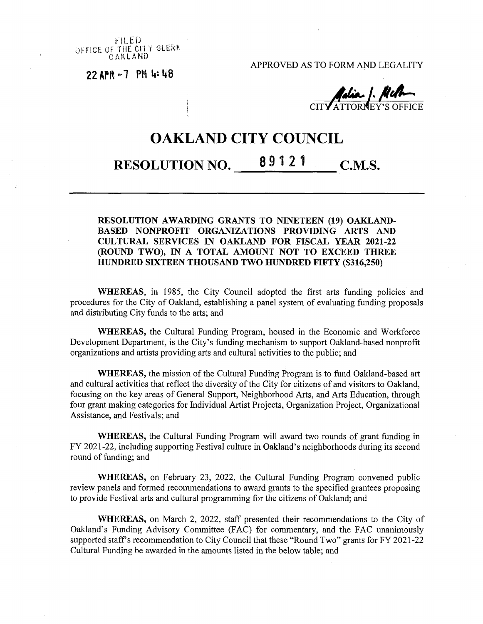FILED OFFICE OF THE CITY CLERK OAKLAND

**<sup>22</sup>** *m* **-7 PM 4\*- <sup>48</sup>**

APPROVED AS TO FORM AND LEGALITY

CITVATTORNEY'S OFFICE

## OAKLAND CITY COUNCIL

## RESOLUTION NO. 89121 C.M.S.

## **RESOLUTION AWARDING GRANTS TO NINETEEN (19) OAKLAND-BASED NONPROFIT ORGANIZATIONS PROVIDING ARTS AND CULTURAL SERVICES IN OAKLAND FOR FISCAL YEAR 2021-22 (ROUND TWO), IN A TOTAL AMOUNT NOT TO EXCEED THREE HUNDRED SIXTEEN THOUSAND TWO HUNDRED FIFTY (\$316,250)**

**WHEREAS,** in 1985, the City Council adopted the first arts funding policies and procedures for the City of Oakland, establishing a panel system of evaluating funding proposals and distributing City funds to the arts; and

**WHEREAS,** the Cultural Funding Program, housed in the Economic and Workforce Development Department, is the City's funding mechanism to support Oakland-based nonprofit organizations and artists providing arts and cultural activities to the public; and

**WHEREAS,** the mission of the Cultural Funding Program is to fund Oakland-based art and cultural activities that reflect the diversity of the City for citizens of and visitors to Oakland, focusing on the key areas of General Support, Neighborhood Arts, and Arts Education, through four grant making categories for Individual Artist Projects, Organization Project, Organizational Assistance, and Festivals; and

**WHEREAS,** the Cultural Funding Program will award two rounds of grant funding in FY 2021-22, including supporting Festival culture in Oakland's neighborhoods during its second round of funding; and

**WHEREAS,** on February 23, 2022, the Cultural Funding Program convened public review panels and formed recommendations to award grants to the specified grantees proposing to provide Festival arts and cultural programming for the citizens of Oakland; and

**WHEREAS,** on March 2, 2022, staff presented their recommendations to the City of Oakland's Funding Advisory Committee (FAC) for commentary, and the FAC unanimously supported staff's recommendation to City Council that these "Round Two" grants for FY 2021-22 Cultural Funding be awarded in the amounts listed in the below table; and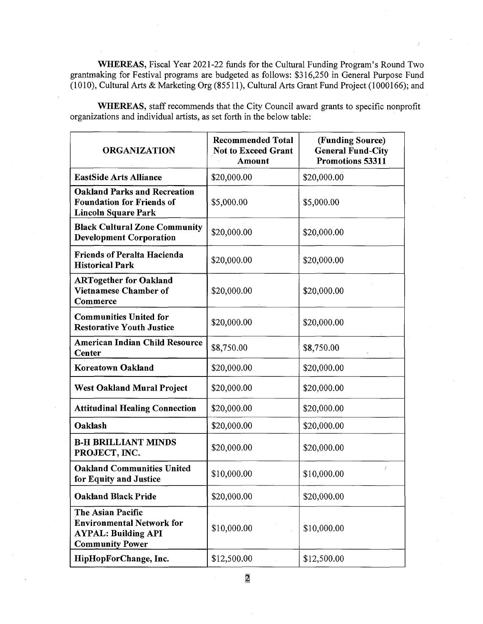**WHEREAS,** Fiscal Year 2021-22 funds for the Cultural Funding Program's Round Two grantmaking for Festival programs are budgeted as follows: \$316,250 in General Purpose Fund (1010), Cultural Arts & Marketing Org (85511), Cultural Arts Grant Fund Project (1000166); and

| <b>ORGANIZATION</b>                                                                                           | <b>Recommended Total</b><br><b>Not to Exceed Grant</b><br>Amount | (Funding Source)<br><b>General Fund-City</b><br>Promotions 53311 |
|---------------------------------------------------------------------------------------------------------------|------------------------------------------------------------------|------------------------------------------------------------------|
| <b>EastSide Arts Alliance</b>                                                                                 | \$20,000.00                                                      | \$20,000.00                                                      |
| <b>Oakland Parks and Recreation</b><br><b>Foundation for Friends of</b><br><b>Lincoln Square Park</b>         | \$5,000.00                                                       | \$5,000.00                                                       |
| <b>Black Cultural Zone Community</b><br><b>Development Corporation</b>                                        | \$20,000.00                                                      | \$20,000.00                                                      |
| <b>Friends of Peralta Hacienda</b><br><b>Historical Park</b>                                                  | \$20,000.00                                                      | \$20,000.00                                                      |
| <b>ARTogether for Oakland</b><br>Vietnamese Chamber of<br>Commerce                                            | \$20,000.00                                                      | \$20,000.00                                                      |
| <b>Communities United for</b><br><b>Restorative Youth Justice</b>                                             | \$20,000.00                                                      | \$20,000.00                                                      |
| <b>American Indian Child Resource</b><br><b>Center</b>                                                        | \$8,750.00                                                       | \$8,750.00                                                       |
| <b>Koreatown Oakland</b>                                                                                      | \$20,000.00                                                      | \$20,000.00                                                      |
| <b>West Oakland Mural Project</b>                                                                             | \$20,000.00                                                      | \$20,000.00                                                      |
| <b>Attitudinal Healing Connection</b>                                                                         | \$20,000.00                                                      | \$20,000.00                                                      |
| Oaklash                                                                                                       | \$20,000.00                                                      | \$20,000.00                                                      |
| <b>B-H BRILLIANT MINDS</b><br>PROJECT, INC.                                                                   | \$20,000.00                                                      | \$20,000.00                                                      |
| <b>Oakland Communities United</b><br>for Equity and Justice                                                   | \$10,000.00                                                      | T<br>\$10,000.00                                                 |
| <b>Oakland Black Pride</b>                                                                                    | \$20,000.00                                                      | \$20,000.00                                                      |
| The Asian Pacific<br><b>Environmental Network for</b><br><b>AYPAL: Building API</b><br><b>Community Power</b> | \$10,000.00                                                      | \$10,000.00                                                      |
| HipHopForChange, Inc.                                                                                         | \$12,500.00                                                      | \$12,500.00                                                      |

**WHEREAS,** staff recommends that the City Council award grants to specific nonprofit organizations and individual artists, as set forth in the below table:

**a**ssa